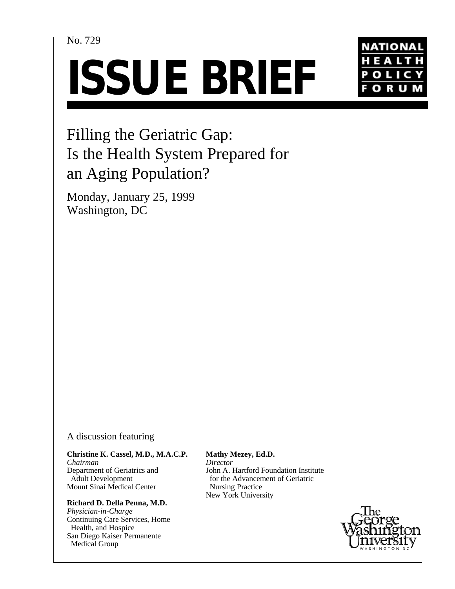No. 729

# **ISSUE BRIEF**



# Filling the Geriatric Gap: Is the Health System Prepared for an Aging Population?

Monday, January 25, 1999 Washington, DC

### A discussion featuring

#### **Christine K. Cassel, M.D., M.A.C.P.**

*Chairman* Department of Geriatrics and Adult Development Mount Sinai Medical Center

#### **Richard D. Della Penna, M.D.**

*Physician-in-Charge* Continuing Care Services, Home Health, and Hospice San Diego Kaiser Permanente Medical Group

**Mathy Mezey, Ed.D.** *Director* John A. Hartford Foundation Institute for the Advancement of Geriatric Nursing Practice New York University

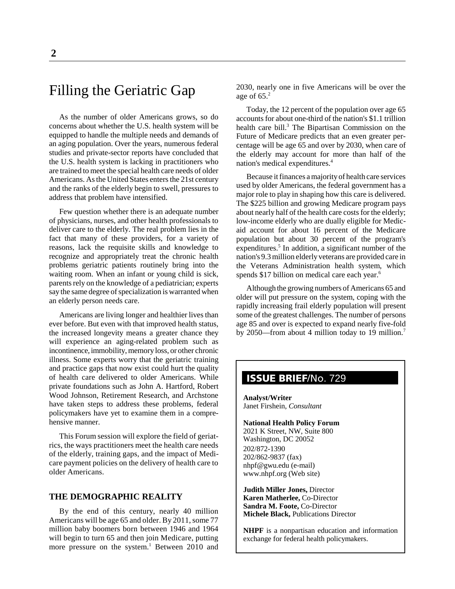# Filling the Geriatric Gap

As the number of older Americans grows, so do concerns about whether the U.S. health system will be equipped to handle the multiple needs and demands of an aging population. Over the years, numerous federal studies and private-sector reports have concluded that the U.S. health system is lacking in practitioners who are trained to meet the special health care needs of older Americans. As the United States enters the 21st century and the ranks of the elderly begin to swell, pressures to address that problem have intensified.

Few question whether there is an adequate number of physicians, nurses, and other health professionals to deliver care to the elderly. The real problem lies in the fact that many of these providers, for a variety of reasons, lack the requisite skills and knowledge to recognize and appropriately treat the chronic health problems geriatric patients routinely bring into the waiting room. When an infant or young child is sick, parents rely on the knowledge of a pediatrician; experts say the same degree of specialization is warranted when an elderly person needs care.

Americans are living longer and healthier lives than ever before. But even with that improved health status, the increased longevity means a greater chance they will experience an aging-related problem such as incontinence, immobility, memory loss, or other chronic illness. Some experts worry that the geriatric training and practice gaps that now exist could hurt the quality of health care delivered to older Americans. While private foundations such as John A. Hartford, Robert Wood Johnson, Retirement Research, and Archstone have taken steps to address these problems, federal policymakers have yet to examine them in a comprehensive manner.

This Forum session will explore the field of geriatrics, the ways practitioners meet the health care needs of the elderly, training gaps, and the impact of Medicare payment policies on the delivery of health care to older Americans.

#### **THE DEMOGRAPHIC REALITY**

By the end of this century, nearly 40 million Americans will be age 65 and older. By 2011, some 77 million baby boomers born between 1946 and 1964 will begin to turn 65 and then join Medicare, putting more pressure on the system.<sup>1</sup> Between 2010 and

2030, nearly one in five Americans will be over the age of  $65.<sup>2</sup>$ 

Today, the 12 percent of the population over age 65 accounts for about one-third of the nation's \$1.1 trillion health care bill.<sup>3</sup> The Bipartisan Commission on the Future of Medicare predicts that an even greater percentage will be age 65 and over by 2030, when care of the elderly may account for more than half of the nation's medical expenditures.4

Because it finances a majority of health care services used by older Americans, the federal government has a major role to play in shaping how this care is delivered. The \$225 billion and growing Medicare program pays about nearly half of the health care costs for the elderly; low-income elderly who are dually eligible for Medicaid account for about 16 percent of the Medicare population but about 30 percent of the program's expenditures.<sup>5</sup> In addition, a significant number of the nation's 9.3 million elderly veterans are provided care in the Veterans Administration health system, which spends \$17 billion on medical care each year.<sup>6</sup>

Although the growing numbers of Americans 65 and older will put pressure on the system, coping with the rapidly increasing frail elderly population will present some of the greatest challenges. The number of persons age 85 and over is expected to expand nearly five-fold by 2050—from about 4 million today to 19 million.<sup>7</sup>

## **ISSUE BRIEF**/No. 729

**Analyst/Writer** Janet Firshein, *Consultant*

#### **National Health Policy Forum**

2021 K Street, NW, Suite 800 Washington, DC 20052 202/872-1390 202/862-9837 (fax) nhpf@gwu.edu (e-mail) www.nhpf.org (Web site)

**Judith Miller Jones,** Director **Karen Matherlee,** Co-Director **Sandra M. Foote,** Co-Director **Michele Black,** Publications Director

**NHPF** is a nonpartisan education and information exchange for federal health policymakers.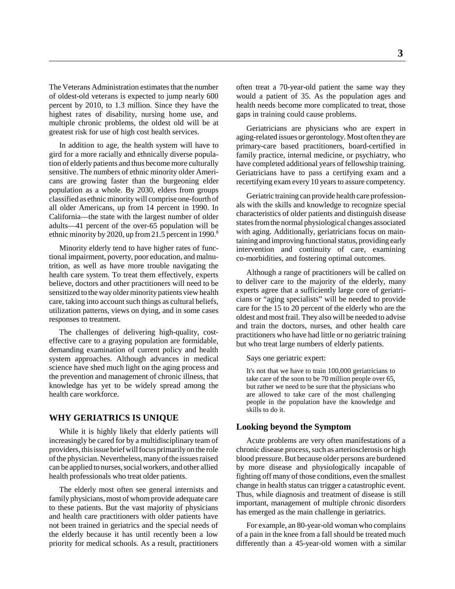The Veterans Administration estimates that the number of oldest-old veterans is expected to jump nearly 600 percent by 2010, to 1.3 million. Since they have the highest rates of disability, nursing home use, and multiple chronic problems, the oldest old will be at greatest risk for use of high cost health services.

In addition to age, the health system will have to gird for a more racially and ethnically diverse population of elderly patients and thus become more culturally sensitive. The numbers of ethnic minority older Americans are growing faster than the burgeoning elder population as a whole. By 2030, elders from groups classified as ethnic minority will comprise one-fourth of all older Americans, up from 14 percent in 1990. In California—the state with the largest number of older adults—41 percent of the over-65 population will be ethnic minority by 2020, up from 21.5 percent in 1990.<sup>8</sup>

Minority elderly tend to have higher rates of functional impairment, poverty, poor education, and malnutrition, as well as have more trouble navigating the health care system. To treat them effectively, experts believe, doctors and other practitioners will need to be sensitized to the way older minority patients view health care, taking into account such things as cultural beliefs, utilization patterns, views on dying, and in some cases responses to treatment.

The challenges of delivering high-quality, costeffective care to a graying population are formidable, demanding examination of current policy and health system approaches. Although advances in medical science have shed much light on the aging process and the prevention and management of chronic illness, that knowledge has yet to be widely spread among the health care workforce.

#### **WHY GERIATRICS IS UNIQUE**

While it is highly likely that elderly patients will increasingly be cared for by a multidisciplinary team of providers, this issue brief will focus primarily on the role of the physician. Nevertheless, many of the issues raised can be applied to nurses, social workers, and other allied health professionals who treat older patients.

The elderly most often see general internists and family physicians, most of whom provide adequate care to these patients. But the vast majority of physicians and health care practitioners with older patients have not been trained in geriatrics and the special needs of the elderly because it has until recently been a low priority for medical schools. As a result, practitioners often treat a 70-year-old patient the same way they would a patient of 35. As the population ages and health needs become more complicated to treat, those gaps in training could cause problems.

Geriatricians are physicians who are expert in aging-related issues or gerontology. Most often they are primary-care based practitioners, board-certified in family practice, internal medicine, or psychiatry, who have completed additional years of fellowship training. Geriatricians have to pass a certifying exam and a recertifying exam every 10 years to assure competency.

Geriatric training can provide health care professionals with the skills and knowledge to recognize special characteristics of older patients and distinguish disease states from the normal physiological changes associated with aging. Additionally, geriatricians focus on maintaining and improving functional status, providing early intervention and continuity of care, examining co-morbidities, and fostering optimal outcomes.

Although a range of practitioners will be called on to deliver care to the majority of the elderly, many experts agree that a sufficiently large core of geriatricians or "aging specialists" will be needed to provide care for the 15 to 20 percent of the elderly who are the oldest and most frail. They also will be needed to advise and train the doctors, nurses, and other health care practitioners who have had little or no geriatric training but who treat large numbers of elderly patients.

Says one geriatric expert:

It's not that we have to train 100,000 geriatricians to take care of the soon to be 70 million people over 65, but rather we need to be sure that the physicians who are allowed to take care of the most challenging people in the population have the knowledge and skills to do it.

#### **Looking beyond the Symptom**

Acute problems are very often manifestations of a chronic disease process, such as arteriosclerosis or high blood pressure. But because older persons are burdened by more disease and physiologically incapable of fighting off many of those conditions, even the smallest change in health status can trigger a catastrophic event. Thus, while diagnosis and treatment of disease is still important, management of multiple chronic disorders has emerged as the main challenge in geriatrics.

For example, an 80-year-old woman who complains of a pain in the knee from a fall should be treated much differently than a 45-year-old women with a similar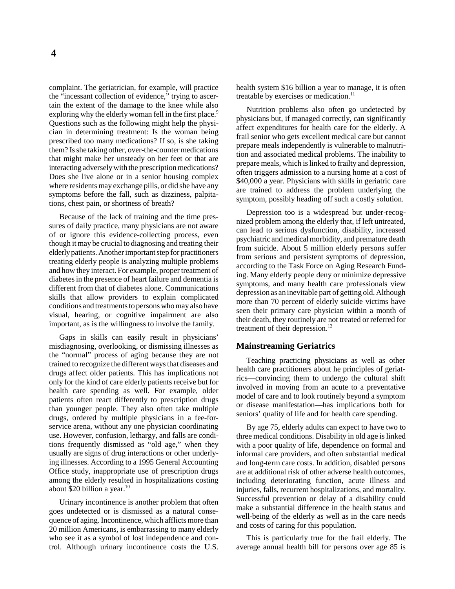**4**

complaint. The geriatrician, for example, will practice the "incessant collection of evidence," trying to ascertain the extent of the damage to the knee while also exploring why the elderly woman fell in the first place.<sup>9</sup> Questions such as the following might help the physician in determining treatment: Is the woman being prescribed too many medications? If so, is she taking them? Is she taking other, over-the-counter medications that might make her unsteady on her feet or that are interacting adversely with the prescription medications? Does she live alone or in a senior housing complex where residents may exchange pills, or did she have any symptoms before the fall, such as dizziness, palpitations, chest pain, or shortness of breath?

Because of the lack of training and the time pressures of daily practice, many physicians are not aware of or ignore this evidence-collecting process, even though it may be crucial to diagnosing and treating their elderly patients. Another important step for practitioners treating elderly people is analyzing multiple problems and how they interact. For example, proper treatment of diabetes in the presence of heart failure and dementia is different from that of diabetes alone. Communications skills that allow providers to explain complicated conditions and treatments to persons who may also have visual, hearing, or cognitive impairment are also important, as is the willingness to involve the family.

Gaps in skills can easily result in physicians' misdiagnosing, overlooking, or dismissing illnesses as the "normal" process of aging because they are not trained to recognize the different ways that diseases and drugs affect older patients. This has implications not only for the kind of care elderly patients receive but for health care spending as well. For example, older patients often react differently to prescription drugs than younger people. They also often take multiple drugs, ordered by multiple physicians in a fee-forservice arena, without any one physician coordinating use. However, confusion, lethargy, and falls are conditions frequently dismissed as "old age," when they usually are signs of drug interactions or other underlying illnesses. According to a 1995 General Accounting Office study, inappropriate use of prescription drugs among the elderly resulted in hospitalizations costing about \$20 billion a year. $10$ 

Urinary incontinence is another problem that often goes undetected or is dismissed as a natural consequence of aging. Incontinence, which afflicts more than 20 million Americans, is embarrassing to many elderly who see it as a symbol of lost independence and control. Although urinary incontinence costs the U.S. health system \$16 billion a year to manage, it is often treatable by exercises or medication.<sup>11</sup>

Nutrition problems also often go undetected by physicians but, if managed correctly, can significantly affect expenditures for health care for the elderly. A frail senior who gets excellent medical care but cannot prepare meals independently is vulnerable to malnutrition and associated medical problems. The inability to prepare meals, which is linked to frailty and depression, often triggers admission to a nursing home at a cost of \$40,000 a year. Physicians with skills in geriatric care are trained to address the problem underlying the symptom, possibly heading off such a costly solution.

Depression too is a widespread but under-recognized problem among the elderly that, if left untreated, can lead to serious dysfunction, disability, increased psychiatric and medical morbidity, and premature death from suicide. About 5 million elderly persons suffer from serious and persistent symptoms of depression, according to the Task Force on Aging Research Funding. Many elderly people deny or minimize depressive symptoms, and many health care professionals view depression as an inevitable part of getting old. Although more than 70 percent of elderly suicide victims have seen their primary care physician within a month of their death, they routinely are not treated or referred for treatment of their depression.<sup>12</sup>

#### **Mainstreaming Geriatrics**

Teaching practicing physicians as well as other health care practitioners about he principles of geriatrics—convincing them to undergo the cultural shift involved in moving from an acute to a preventative model of care and to look routinely beyond a symptom or disease manifestation—has implications both for seniors' quality of life and for health care spending.

By age 75, elderly adults can expect to have two to three medical conditions. Disability in old age is linked with a poor quality of life, dependence on formal and informal care providers, and often substantial medical and long-term care costs. In addition, disabled persons are at additional risk of other adverse health outcomes, including deteriorating function, acute illness and injuries, falls, recurrent hospitalizations, and mortality. Successful prevention or delay of a disability could make a substantial difference in the health status and well-being of the elderly as well as in the care needs and costs of caring for this population.

This is particularly true for the frail elderly. The average annual health bill for persons over age 85 is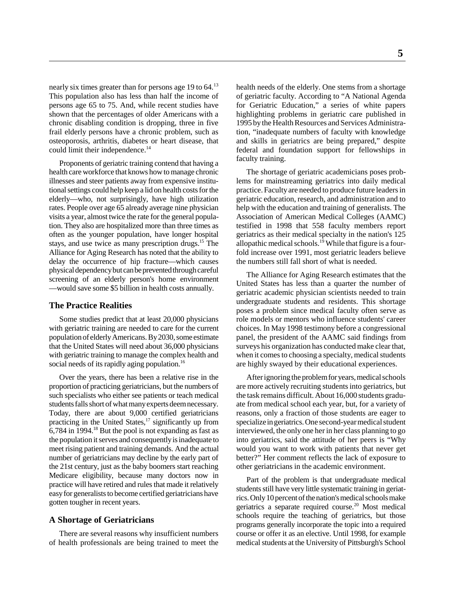nearly six times greater than for persons age 19 to 64.<sup>13</sup> This population also has less than half the income of persons age 65 to 75. And, while recent studies have shown that the percentages of older Americans with a chronic disabling condition is dropping, three in five frail elderly persons have a chronic problem, such as osteoporosis, arthritis, diabetes or heart disease, that could limit their independence.<sup>14</sup>

Proponents of geriatric training contend that having a health care workforce that knows how to manage chronic illnesses and steer patients away from expensive institutional settings could help keep a lid on health costs for the elderly—who, not surprisingly, have high utilization rates. People over age 65 already average nine physician visits a year, almost twice the rate for the general population. They also are hospitalized more than three times as often as the younger population, have longer hospital stays, and use twice as many prescription drugs.<sup>15</sup> The Alliance for Aging Research has noted that the ability to delay the occurrence of hip fracture—which causes physical dependency but can be prevented through careful screening of an elderly person's home environment —would save some \$5 billion in health costs annually.

#### **The Practice Realities**

Some studies predict that at least 20,000 physicians with geriatric training are needed to care for the current population of elderly Americans. By 2030, some estimate that the United States will need about 36,000 physicians with geriatric training to manage the complex health and social needs of its rapidly aging population.<sup>16</sup>

Over the years, there has been a relative rise in the proportion of practicing geriatricians, but the numbers of such specialists who either see patients or teach medical students falls short of what many experts deem necessary. Today, there are about 9,000 certified geriatricians practicing in the United States,<sup>17</sup> significantly up from  $6,784$  in 1994.<sup>18</sup> But the pool is not expanding as fast as the population it serves and consequently is inadequate to meet rising patient and training demands. And the actual number of geriatricians may decline by the early part of the 21st century, just as the baby boomers start reaching Medicare eligibility, because many doctors now in practice will have retired and rules that made it relatively easy for generalists to become certified geriatricians have gotten tougher in recent years.

#### **A Shortage of Geriatricians**

There are several reasons why insufficient numbers of health professionals are being trained to meet the health needs of the elderly. One stems from a shortage of geriatric faculty. According to "A National Agenda for Geriatric Education," a series of white papers highlighting problems in geriatric care published in 1995 by the Health Resources and Services Administration, "inadequate numbers of faculty with knowledge and skills in geriatrics are being prepared," despite federal and foundation support for fellowships in faculty training.

The shortage of geriatric academicians poses problems for mainstreaming geriatrics into daily medical practice. Faculty are needed to produce future leaders in geriatric education, research, and administration and to help with the education and training of generalists. The Association of American Medical Colleges (AAMC) testified in 1998 that 558 faculty members report geriatrics as their medical specialty in the nation's 125 allopathic medical schools.<sup>19</sup> While that figure is a fourfold increase over 1991, most geriatric leaders believe the numbers still fall short of what is needed.

The Alliance for Aging Research estimates that the United States has less than a quarter the number of geriatric academic physician scientists needed to train undergraduate students and residents. This shortage poses a problem since medical faculty often serve as role models or mentors who influence students' career choices. In May 1998 testimony before a congressional panel, the president of the AAMC said findings from surveys his organization has conducted make clear that, when it comes to choosing a specialty, medical students are highly swayed by their educational experiences.

After ignoring the problem for years, medical schools are more actively recruiting students into geriatrics, but the task remains difficult. About 16,000 students graduate from medical school each year, but, for a variety of reasons, only a fraction of those students are eager to specialize in geriatrics. One second-year medical student interviewed, the only one her in her class planning to go into geriatrics, said the attitude of her peers is "Why would you want to work with patients that never get better?" Her comment reflects the lack of exposure to other geriatricians in the academic environment.

Part of the problem is that undergraduate medical students still have very little systematic training in geriatrics. Only 10 percent of the nation's medical schools make geriatrics a separate required course.<sup>20</sup> Most medical schools require the teaching of geriatrics, but those programs generally incorporate the topic into a required course or offer it as an elective. Until 1998, for example medical students at the University of Pittsburgh's School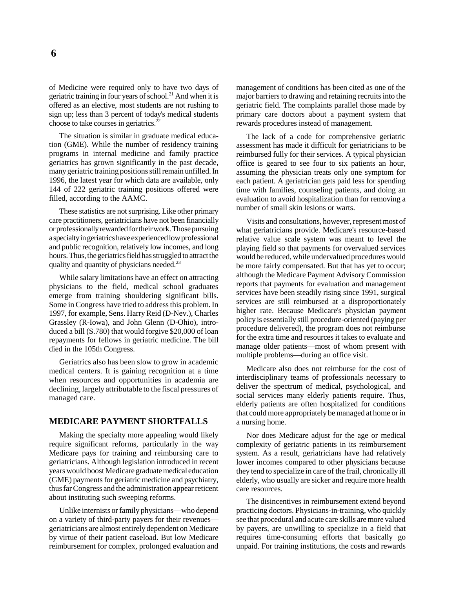of Medicine were required only to have two days of geriatric training in four years of school.<sup>21</sup> And when it is offered as an elective, most students are not rushing to sign up; less than 3 percent of today's medical students choose to take courses in geriatrics. $^{22}$ 

The situation is similar in graduate medical education (GME). While the number of residency training programs in internal medicine and family practice geriatrics has grown significantly in the past decade, many geriatric training positions still remain unfilled. In 1996, the latest year for which data are available, only 144 of 222 geriatric training positions offered were filled, according to the AAMC.

These statistics are not surprising. Like other primary care practitioners, geriatricians have not been financially or professionally rewarded for their work. Those pursuing a specialty in geriatrics have experienced low professional and public recognition, relatively low incomes, and long hours. Thus, the geriatrics field has struggled to attract the quality and quantity of physicians needed.<sup>23</sup>

While salary limitations have an effect on attracting physicians to the field, medical school graduates emerge from training shouldering significant bills. Some in Congress have tried to address this problem. In 1997, for example, Sens. Harry Reid (D-Nev.), Charles Grassley (R-Iowa), and John Glenn (D-Ohio), introduced a bill (S.780) that would forgive \$20,000 of loan repayments for fellows in geriatric medicine. The bill died in the 105th Congress.

Geriatrics also has been slow to grow in academic medical centers. It is gaining recognition at a time when resources and opportunities in academia are declining, largely attributable to the fiscal pressures of managed care.

#### **MEDICARE PAYMENT SHORTFALLS**

Making the specialty more appealing would likely require significant reforms, particularly in the way Medicare pays for training and reimbursing care to geriatricians. Although legislation introduced in recent years would boost Medicare graduate medical education (GME) payments for geriatric medicine and psychiatry, thus far Congress and the administration appear reticent about instituting such sweeping reforms.

Unlike internists or family physicians—who depend on a variety of third-party payers for their revenues geriatricians are almost entirely dependent on Medicare by virtue of their patient caseload. But low Medicare reimbursement for complex, prolonged evaluation and

management of conditions has been cited as one of the major barriers to drawing and retaining recruits into the geriatric field. The complaints parallel those made by primary care doctors about a payment system that rewards procedures instead of management.

The lack of a code for comprehensive geriatric assessment has made it difficult for geriatricians to be reimbursed fully for their services. A typical physician office is geared to see four to six patients an hour, assuming the physician treats only one symptom for each patient. A geriatrician gets paid less for spending time with families, counseling patients, and doing an evaluation to avoid hospitalization than for removing a number of small skin lesions or warts.

Visits and consultations, however, represent most of what geriatricians provide. Medicare's resource-based relative value scale system was meant to level the playing field so that payments for overvalued services would be reduced, while undervalued procedures would be more fairly compensated. But that has yet to occur; although the Medicare Payment Advisory Commission reports that payments for evaluation and management services have been steadily rising since 1991, surgical services are still reimbursed at a disproportionately higher rate. Because Medicare's physician payment policy is essentially still procedure-oriented (paying per procedure delivered), the program does not reimburse for the extra time and resources it takes to evaluate and manage older patients—most of whom present with multiple problems—during an office visit.

Medicare also does not reimburse for the cost of interdisciplinary teams of professionals necessary to deliver the spectrum of medical, psychological, and social services many elderly patients require. Thus, elderly patients are often hospitalized for conditions that could more appropriately be managed at home or in a nursing home.

Nor does Medicare adjust for the age or medical complexity of geriatric patients in its reimbursement system. As a result, geriatricians have had relatively lower incomes compared to other physicians because they tend to specialize in care of the frail, chronically ill elderly, who usually are sicker and require more health care resources.

The disincentives in reimbursement extend beyond practicing doctors. Physicians-in-training, who quickly see that procedural and acute care skills are more valued by payers, are unwilling to specialize in a field that requires time-consuming efforts that basically go unpaid. For training institutions, the costs and rewards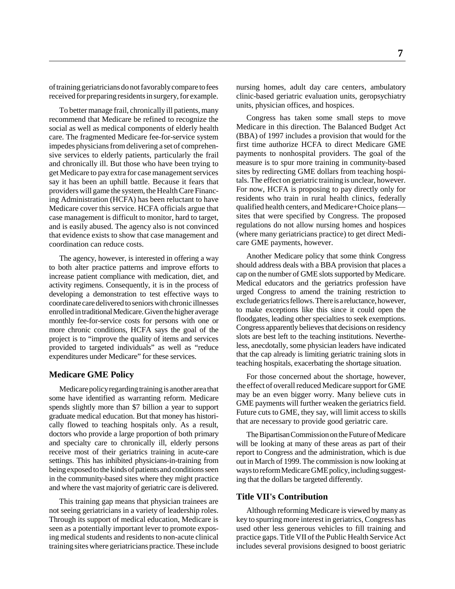of training geriatricians do not favorably compare to fees received for preparing residents in surgery, for example.

To better manage frail, chronically ill patients, many recommend that Medicare be refined to recognize the social as well as medical components of elderly health care. The fragmented Medicare fee-for-service system impedes physicians from delivering a set of comprehensive services to elderly patients, particularly the frail and chronically ill. But those who have been trying to get Medicare to pay extra for case management services say it has been an uphill battle. Because it fears that providers will game the system, the Health Care Financing Administration (HCFA) has been reluctant to have Medicare cover this service. HCFA officials argue that case management is difficult to monitor, hard to target, and is easily abused. The agency also is not convinced that evidence exists to show that case management and coordination can reduce costs.

The agency, however, is interested in offering a way to both alter practice patterns and improve efforts to increase patient compliance with medication, diet, and activity regimens. Consequently, it is in the process of developing a demonstration to test effective ways to coordinate care delivered to seniors with chronic illnesses enrolled in traditional Medicare. Given the higher average monthly fee-for-service costs for persons with one or more chronic conditions, HCFA says the goal of the project is to "improve the quality of items and services provided to targeted individuals" as well as "reduce expenditures under Medicare" for these services.

#### **Medicare GME Policy**

Medicare policy regarding training is another area that some have identified as warranting reform. Medicare spends slightly more than \$7 billion a year to support graduate medical education. But that money has historically flowed to teaching hospitals only. As a result, doctors who provide a large proportion of both primary and specialty care to chronically ill, elderly persons receive most of their geriatrics training in acute-care settings. This has inhibited physicians-in-training from being exposed to the kinds of patients and conditions seen in the community-based sites where they might practice and where the vast majority of geriatric care is delivered.

This training gap means that physician trainees are not seeing geriatricians in a variety of leadership roles. Through its support of medical education, Medicare is seen as a potentially important lever to promote exposing medical students and residents to non-acute clinical training sites where geriatricians practice. These include

nursing homes, adult day care centers, ambulatory clinic-based geriatric evaluation units, geropsychiatry units, physician offices, and hospices.

Congress has taken some small steps to move Medicare in this direction. The Balanced Budget Act (BBA) of 1997 includes a provision that would for the first time authorize HCFA to direct Medicare GME payments to nonhospital providers. The goal of the measure is to spur more training in community-based sites by redirecting GME dollars from teaching hospitals. The effect on geriatric training is unclear, however. For now, HCFA is proposing to pay directly only for residents who train in rural health clinics, federally qualified health centers, and Medicare+Choice plans sites that were specified by Congress. The proposed regulations do not allow nursing homes and hospices (where many geriatricians practice) to get direct Medicare GME payments, however.

Another Medicare policy that some think Congress should address deals with a BBA provision that places a cap on the number of GME slots supported by Medicare. Medical educators and the geriatrics profession have urged Congress to amend the training restriction to exclude geriatrics fellows. There is a reluctance, however, to make exceptions like this since it could open the floodgates, leading other specialties to seek exemptions. Congress apparently believes that decisions on residency slots are best left to the teaching institutions. Nevertheless, anecdotally, some physician leaders have indicated that the cap already is limiting geriatric training slots in teaching hospitals, exacerbating the shortage situation.

For those concerned about the shortage, however, the effect of overall reduced Medicare support for GME may be an even bigger worry. Many believe cuts in GME payments will further weaken the geriatrics field. Future cuts to GME, they say, will limit access to skills that are necessary to provide good geriatric care.

The Bipartisan Commission on the Future of Medicare will be looking at many of these areas as part of their report to Congress and the administration, which is due out in March of 1999. The commission is now looking at ways to reform Medicare GME policy, including suggesting that the dollars be targeted differently.

#### **Title VII's Contribution**

Although reforming Medicare is viewed by many as key to spurring more interest in geriatrics, Congress has used other less generous vehicles to fill training and practice gaps. Title VII of the Public Health Service Act includes several provisions designed to boost geriatric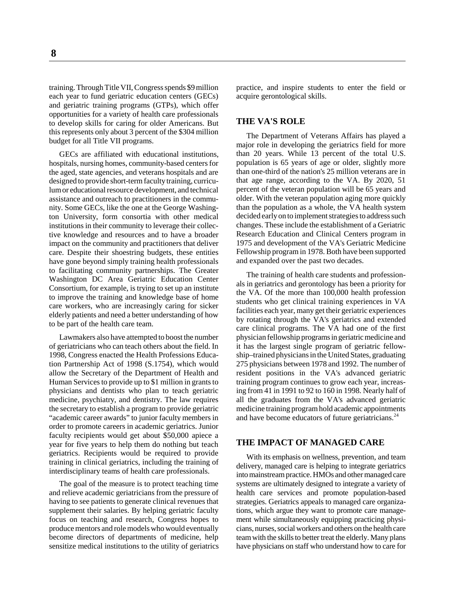training. Through Title VII, Congress spends \$9 million each year to fund geriatric education centers (GECs) and geriatric training programs (GTPs), which offer opportunities for a variety of health care professionals to develop skills for caring for older Americans. But this represents only about 3 percent of the \$304 million budget for all Title VII programs.

GECs are affiliated with educational institutions, hospitals, nursing homes, community-based centers for the aged, state agencies, and veterans hospitals and are designed to provide short-term faculty training, curriculum or educational resource development, and technical assistance and outreach to practitioners in the community. Some GECs, like the one at the George Washington University, form consortia with other medical institutions in their community to leverage their collective knowledge and resources and to have a broader impact on the community and practitioners that deliver care. Despite their shoestring budgets, these entities have gone beyond simply training health professionals to facilitating community partnerships. The Greater Washington DC Area Geriatric Education Center Consortium, for example, is trying to set up an institute to improve the training and knowledge base of home care workers, who are increasingly caring for sicker elderly patients and need a better understanding of how to be part of the health care team.

Lawmakers also have attempted to boost the number of geriatricians who can teach others about the field. In 1998, Congress enacted the Health Professions Education Partnership Act of 1998 (S.1754), which would allow the Secretary of the Department of Health and Human Services to provide up to \$1 million in grants to physicians and dentists who plan to teach geriatric medicine, psychiatry, and dentistry. The law requires the secretary to establish a program to provide geriatric "academic career awards" to junior faculty members in order to promote careers in academic geriatrics. Junior faculty recipients would get about \$50,000 apiece a year for five years to help them do nothing but teach geriatrics. Recipients would be required to provide training in clinical geriatrics, including the training of interdisciplinary teams of health care professionals.

The goal of the measure is to protect teaching time and relieve academic geriatricians from the pressure of having to see patients to generate clinical revenues that supplement their salaries. By helping geriatric faculty focus on teaching and research, Congress hopes to produce mentors and role models who would eventually become directors of departments of medicine, help sensitize medical institutions to the utility of geriatrics practice, and inspire students to enter the field or acquire gerontological skills.

#### **THE VA'S ROLE**

The Department of Veterans Affairs has played a major role in developing the geriatrics field for more than 20 years. While 13 percent of the total U.S. population is 65 years of age or older, slightly more than one-third of the nation's 25 million veterans are in that age range, according to the VA. By 2020, 51 percent of the veteran population will be 65 years and older. With the veteran population aging more quickly than the population as a whole, the VA health system decided early on to implement strategies to address such changes. These include the establishment of a Geriatric Research Education and Clinical Centers program in 1975 and development of the VA's Geriatric Medicine Fellowship program in 1978. Both have been supported and expanded over the past two decades.

The training of health care students and professionals in geriatrics and gerontology has been a priority for the VA. Of the more than 100,000 health profession students who get clinical training experiences in VA facilities each year, many get their geriatric experiences by rotating through the VA's geriatrics and extended care clinical programs. The VA had one of the first physician fellowship programs in geriatric medicine and it has the largest single program of geriatric fellowship–trained physicians in the United States, graduating 275 physicians between 1978 and 1992. The number of resident positions in the VA's advanced geriatric training program continues to grow each year, increasing from 41 in 1991 to 92 to 160 in 1998. Nearly half of all the graduates from the VA's advanced geriatric medicine training program hold academic appointments and have become educators of future geriatricians.<sup>24</sup>

#### **THE IMPACT OF MANAGED CARE**

With its emphasis on wellness, prevention, and team delivery, managed care is helping to integrate geriatrics into mainstream practice. HMOs and other managed care systems are ultimately designed to integrate a variety of health care services and promote population-based strategies. Geriatrics appeals to managed care organizations, which argue they want to promote care management while simultaneously equipping practicing physicians, nurses, social workers and others on the health care team with the skills to better treat the elderly. Many plans have physicians on staff who understand how to care for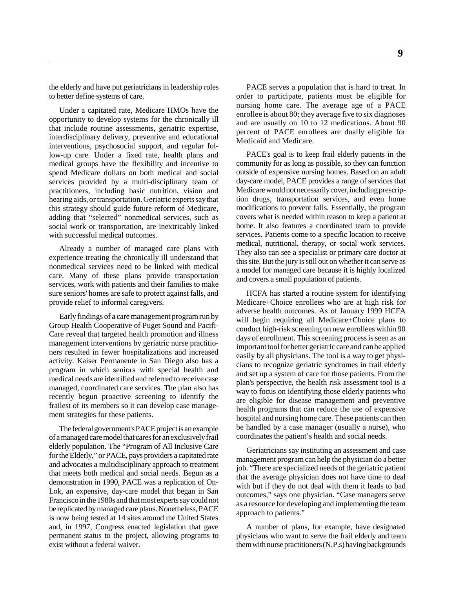the elderly and have put geriatricians in leadership roles to better define systems of care.

Under a capitated rate, Medicare HMOs have the opportunity to develop systems for the chronically ill that include routine assessments, geriatric expertise, interdisciplinary delivery, preventive and educational interventions, psychosocial support, and regular follow-up care. Under a fixed rate, health plans and medical groups have the flexibility and incentive to spend Medicare dollars on both medical and social services provided by a multi-disciplinary team of practitioners, including basic nutrition, vision and hearing aids, or transportation. Geriatric experts say that this strategy should guide future reform of Medicare, adding that "selected" nonmedical services, such as social work or transportation, are inextricably linked with successful medical outcomes.

Already a number of managed care plans with experience treating the chronically ill understand that nonmedical services need to be linked with medical care. Many of these plans provide transportation services, work with patients and their families to make sure seniors' homes are safe to protect against falls, and provide relief to informal caregivers.

Early findings of a care management program run by Group Health Cooperative of Puget Sound and Pacifi-Care reveal that targeted health promotion and illness management interventions by geriatric nurse practitioners resulted in fewer hospitalizations and increased activity. Kaiser Permanente in San Diego also has a program in which seniors with special health and medical needs are identified and referred to receive case managed, coordinated care services. The plan also has recently begun proactive screening to identify the frailest of its members so it can develop case management strategies for these patients.

The federal government's PACE project is an example of a managed care model that cares for an exclusively frail elderly population. The "Program of All Inclusive Care for the Elderly," or PACE, pays providers a capitated rate and advocates a multidisciplinary approach to treatment that meets both medical and social needs. Begun as a demonstration in 1990, PACE was a replication of On-Lok, an expensive, day-care model that began in San Francisco in the 1980s and that most experts say could not be replicated by managed care plans. Nonetheless, PACE is now being tested at 14 sites around the United States and, in 1997, Congress enacted legislation that gave permanent status to the project, allowing programs to exist without a federal waiver.

PACE serves a population that is hard to treat. In order to participate, patients must be eligible for nursing home care. The average age of a PACE enrollee is about 80; they average five to six diagnoses and are usually on 10 to 12 medications. About 90 percent of PACE enrollees are dually eligible for Medicaid and Medicare.

PACE's goal is to keep frail elderly patients in the community for as long as possible, so they can function outside of expensive nursing homes. Based on an adult day-care model, PACE provides a range of services that Medicare would not necessarily cover, including prescription drugs, transportation services, and even home modifications to prevent falls. Essentially, the program covers what is needed within reason to keep a patient at home. It also features a coordinated team to provide services. Patients come to a specific location to receive medical, nutritional, therapy, or social work services. They also can see a specialist or primary care doctor at this site. But the jury is still out on whether it can serve as a model for managed care because it is highly localized and covers a small population of patients.

HCFA has started a routine system for identifying Medicare+Choice enrollees who are at high risk for adverse health outcomes. As of January 1999 HCFA will begin requiring all Medicare+Choice plans to conduct high-risk screening on new enrollees within 90 days of enrollment. This screening process is seen as an important tool for better geriatric care and can be applied easily by all physicians. The tool is a way to get physicians to recognize geriatric syndromes in frail elderly and set up a system of care for those patients. From the plan's perspective, the health risk assessment tool is a way to focus on identifying those elderly patients who are eligible for disease management and preventive health programs that can reduce the use of expensive hospital and nursing home care. These patients can then be handled by a case manager (usually a nurse), who coordinates the patient's health and social needs.

Geriatricians say instituting an assessment and case management program can help the physician do a better job. "There are specialized needs of the geriatric patient that the average physician does not have time to deal with but if they do not deal with them it leads to bad outcomes," says one physician. "Case managers serve as a resource for developing and implementing the team approach to patients."

A number of plans, for example, have designated physicians who want to serve the frail elderly and team them with nurse practitioners (N.P.s) having backgrounds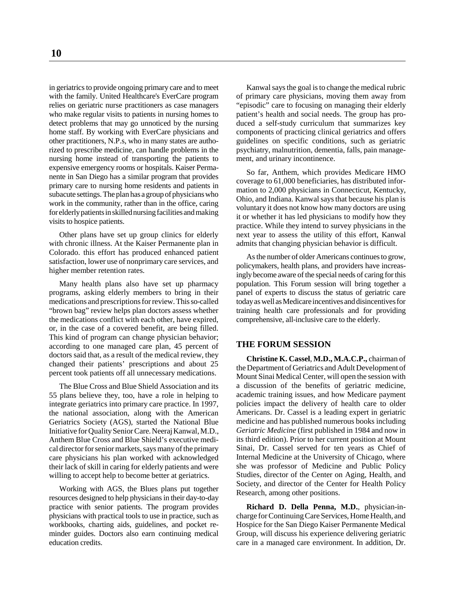in geriatrics to provide ongoing primary care and to meet with the family. United Healthcare's EverCare program relies on geriatric nurse practitioners as case managers who make regular visits to patients in nursing homes to detect problems that may go unnoticed by the nursing home staff. By working with EverCare physicians and other practitioners, N.P.s, who in many states are authorized to prescribe medicine, can handle problems in the nursing home instead of transporting the patients to expensive emergency rooms or hospitals. Kaiser Permanente in San Diego has a similar program that provides primary care to nursing home residents and patients in subacute settings. The plan has a group of physicians who work in the community, rather than in the office, caring for elderly patients in skilled nursing facilities and making visits to hospice patients.

Other plans have set up group clinics for elderly with chronic illness. At the Kaiser Permanente plan in Colorado. this effort has produced enhanced patient satisfaction, lower use of nonprimary care services, and higher member retention rates.

Many health plans also have set up pharmacy programs, asking elderly members to bring in their medications and prescriptions for review. This so-called "brown bag" review helps plan doctors assess whether the medications conflict with each other, have expired, or, in the case of a covered benefit, are being filled. This kind of program can change physician behavior; according to one managed care plan, 45 percent of doctors said that, as a result of the medical review, they changed their patients' prescriptions and about 25 percent took patients off all unnecessary medications.

The Blue Cross and Blue Shield Association and its 55 plans believe they, too, have a role in helping to integrate geriatrics into primary care practice. In 1997, the national association, along with the American Geriatrics Society (AGS), started the National Blue Initiative for Quality Senior Care. Neeraj Kanwal, M.D., Anthem Blue Cross and Blue Shield's executive medical director for senior markets, says many of the primary care physicians his plan worked with acknowledged their lack of skill in caring for elderly patients and were willing to accept help to become better at geriatrics.

Working with AGS, the Blues plans put together resources designed to help physicians in their day-to-day practice with senior patients. The program provides physicians with practical tools to use in practice, such as workbooks, charting aids, guidelines, and pocket reminder guides. Doctors also earn continuing medical education credits.

Kanwal says the goal is to change the medical rubric of primary care physicians, moving them away from "episodic" care to focusing on managing their elderly patient's health and social needs. The group has produced a self-study curriculum that summarizes key components of practicing clinical geriatrics and offers guidelines on specific conditions, such as geriatric psychiatry, malnutrition, dementia, falls, pain management, and urinary incontinence.

So far, Anthem, which provides Medicare HMO coverage to 61,000 beneficiaries, has distributed information to 2,000 physicians in Connecticut, Kentucky, Ohio, and Indiana. Kanwal says that because his plan is voluntary it does not know how many doctors are using it or whether it has led physicians to modify how they practice. While they intend to survey physicians in the next year to assess the utility of this effort, Kanwal admits that changing physician behavior is difficult.

As the number of older Americans continues to grow, policymakers, health plans, and providers have increasingly become aware of the special needs of caring for this population. This Forum session will bring together a panel of experts to discuss the status of geriatric care today as well as Medicare incentives and disincentives for training health care professionals and for providing comprehensive, all-inclusive care to the elderly.

#### **THE FORUM SESSION**

**Christine K. Cassel**, **M.D., M.A.C.P.,** chairman of the Department of Geriatrics and Adult Development of Mount Sinai Medical Center, will open the session with a discussion of the benefits of geriatric medicine, academic training issues, and how Medicare payment policies impact the delivery of health care to older Americans. Dr. Cassel is a leading expert in geriatric medicine and has published numerous books including *Geriatric Medicine* (first published in 1984 and now in its third edition). Prior to her current position at Mount Sinai, Dr. Cassel served for ten years as Chief of Internal Medicine at the University of Chicago, where she was professor of Medicine and Public Policy Studies, director of the Center on Aging, Health, and Society, and director of the Center for Health Policy Research, among other positions.

**Richard D. Della Penna, M.D.**, physician-incharge for Continuing Care Services, Home Health, and Hospice for the San Diego Kaiser Permanente Medical Group, will discuss his experience delivering geriatric care in a managed care environment. In addition, Dr.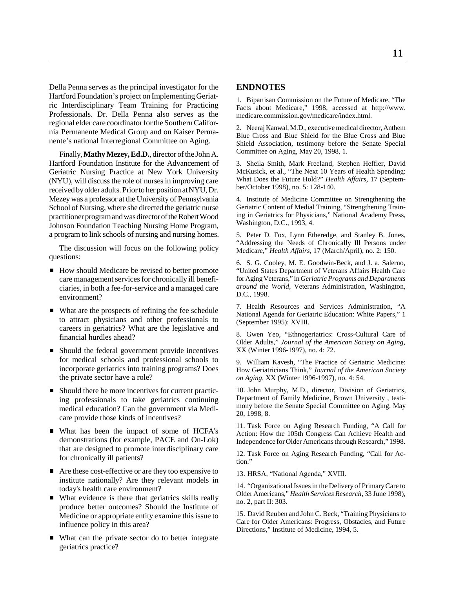Della Penna serves as the principal investigator for the Hartford Foundation's project on Implementing Geriatric Interdisciplinary Team Training for Practicing Professionals. Dr. Della Penna also serves as the regional elder care coordinator for the Southern California Permanente Medical Group and on Kaiser Permanente's national Interregional Committee on Aging.

Finally, **Mathy Mezey, Ed.D.**, director of the John A. Hartford Foundation Institute for the Advancement of Geriatric Nursing Practice at New York University (NYU), will discuss the role of nurses in improving care received by older adults. Prior to her position at NYU, Dr. Mezey was a professor at the University of Pennsylvania School of Nursing, where she directed the geriatric nurse practitioner program and was director of the Robert Wood Johnson Foundation Teaching Nursing Home Program, a program to link schools of nursing and nursing homes.

The discussion will focus on the following policy questions:

- How should Medicare be revised to better promote care management services for chronically ill beneficiaries, in both a fee-for-service and a managed care environment?
- What are the prospects of refining the fee schedule to attract physicians and other professionals to careers in geriatrics? What are the legislative and financial hurdles ahead?
- Should the federal government provide incentives for medical schools and professional schools to incorporate geriatrics into training programs? Does the private sector have a role?
- Should there be more incentives for current practicing professionals to take geriatrics continuing medical education? Can the government via Medicare provide those kinds of incentives?
- What has been the impact of some of HCFA's demonstrations (for example, PACE and On-Lok) that are designed to promote interdisciplinary care for chronically ill patients?
- Are these cost-effective or are they too expensive to institute nationally? Are they relevant models in today's health care environment?
- What evidence is there that geriatrics skills really produce better outcomes? Should the Institute of Medicine or appropriate entity examine this issue to influence policy in this area?
- What can the private sector do to better integrate geriatrics practice?

#### **ENDNOTES**

1. Bipartisan Commission on the Future of Medicare, "The Facts about Medicare," 1998, accessed at http://www. medicare.commission.gov/medicare/index.html.

2. Neeraj Kanwal, M.D., executive medical director, Anthem Blue Cross and Blue Shield for the Blue Cross and Blue Shield Association, testimony before the Senate Special Committee on Aging, May 20, 1998, 1.

3. Sheila Smith, Mark Freeland, Stephen Heffler, David McKusick, et al., "The Next 10 Years of Health Spending: What Does the Future Hold?" *Health Affairs,* 17 (September/October 1998), no. 5: 128-140.

4. Institute of Medicine Committee on Strengthening the Geriatric Content of Medial Training, "Strengthening Training in Geriatrics for Physicians," National Academy Press, Washington, D.C., 1993, 4.

5. Peter D. Fox, Lynn Etheredge, and Stanley B. Jones, "Addressing the Needs of Chronically Ill Persons under Medicare," *Health Affairs,* 17 (March/April), no. 2: 150.

6. S. G. Cooley, M. E. Goodwin-Beck, and J. a. Salerno, "United States Department of Veterans Affairs Health Care for Aging Veterans," in *Geriatric Programs and Departments around the World,* Veterans Administration, Washington, D.C., 1998.

7. Health Resources and Services Administration, "A National Agenda for Geriatric Education: White Papers," 1 (September 1995): XVIII.

8. Gwen Yeo, "Ethnogeriatrics: Cross-Cultural Care of Older Adults," *Journal of the American Society on Aging,* XX (Winter 1996-1997), no. 4: 72.

9. William Kavesh, "The Practice of Geriatric Medicine: How Geriatricians Think," *Journal of the American Society on Aging,* XX (Winter 1996-1997), no. 4: 54.

10. John Murphy, M.D., director, Division of Geriatrics, Department of Family Medicine, Brown University , testimony before the Senate Special Committee on Aging, May 20, 1998, 8.

11. Task Force on Aging Research Funding, "A Call for Action: How the 105th Congress Can Achieve Health and Independence for Older Americans through Research," 1998.

12. Task Force on Aging Research Funding, "Call for Action."

13. HRSA, "National Agenda," XVIII.

14. "Organizational Issues in the Delivery of Primary Care to Older Americans," *Health Services Research,* 33 June 1998), no. 2, part II: 303.

15. David Reuben and John C. Beck, "Training Physicians to Care for Older Americans: Progress, Obstacles, and Future Directions," Institute of Medicine, 1994, 5.